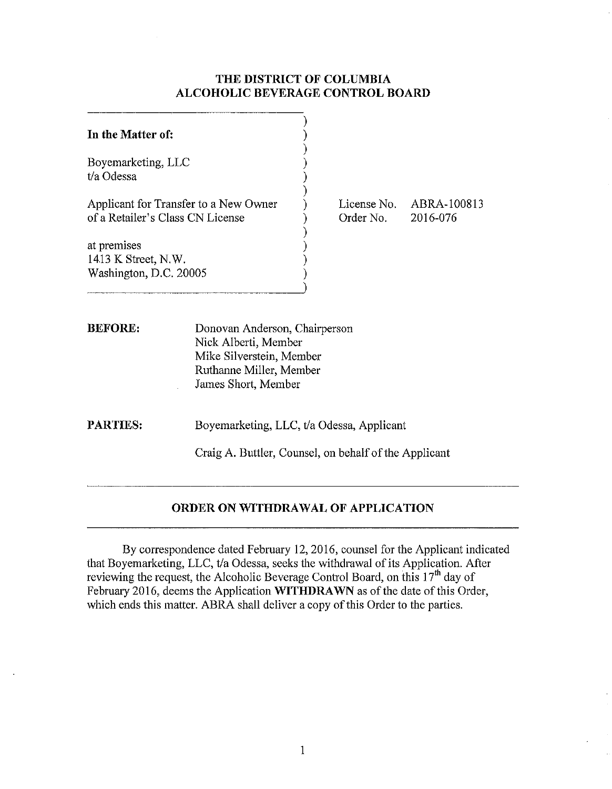## **THE DISTRICT OF COLUMBIA ALCOHOLIC BEVERAGE CONTROL BOARD**

| In the Matter of:                                                         |                                                                                                                                     |                          |                         |
|---------------------------------------------------------------------------|-------------------------------------------------------------------------------------------------------------------------------------|--------------------------|-------------------------|
| Boyemarketing, LLC<br>t/a Odessa                                          |                                                                                                                                     |                          |                         |
| Applicant for Transfer to a New Owner<br>of a Retailer's Class CN License |                                                                                                                                     | License No.<br>Order No. | ABRA-100813<br>2016-076 |
| at premises<br>1413 K Street, N.W.<br>Washington, D.C. 20005              |                                                                                                                                     |                          |                         |
| <b>BEFORE:</b>                                                            | Donovan Anderson, Chairperson<br>Nick Alberti, Member<br>Mike Silverstein, Member<br>Ruthanne Miller, Member<br>James Short, Member |                          |                         |
| <b>PARTIES:</b>                                                           | Boyemarketing, LLC, t/a Odessa, Applicant<br>Craig A. Buttler, Counsel, on behalf of the Applicant                                  |                          |                         |

## **ORDER ON WITHDRAWAL OF APPLICATION**

By correspondence dated February 12, 2016, counsel for the Applicant indicated that Boyemarketing, LLC, t/a Odessa, seeks the withdrawal of its Application. After reviewing the request, the Alcoholic Beverage Control Board, on this 17<sup>th</sup> day of February 2016, deems the Application **WITHDRAWN** as of the date of this Order, which ends this matter. ABRA shall deliver a copy of this Order to the parties.